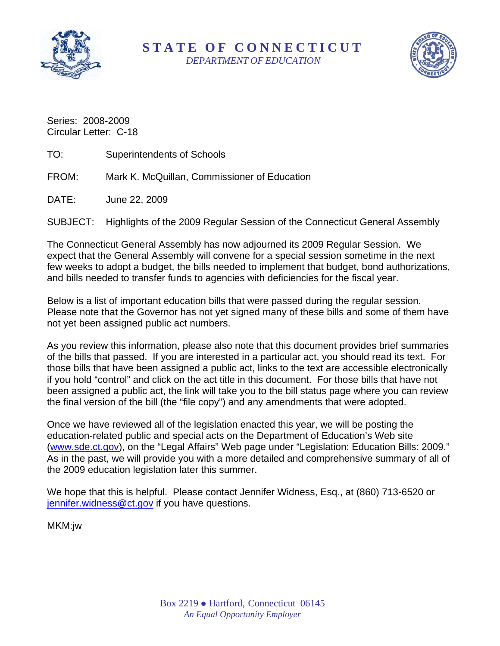

#### **STATE O F CONNECTICUT**  *DEPARTMENT OF EDUCATION*



Series: 2008-2009 Circular Letter: C-18

- TO: Superintendents of Schools
- FROM: Mark K. McQuillan, Commissioner of Education

DATE: June 22, 2009

SUBJECT: Highlights of the 2009 Regular Session of the Connecticut General Assembly

The Connecticut General Assembly has now adjourned its 2009 Regular Session. We expect that the General Assembly will convene for a special session sometime in the next few weeks to adopt a budget, the bills needed to implement that budget, bond authorizations, and bills needed to transfer funds to agencies with deficiencies for the fiscal year.

Below is a list of important education bills that were passed during the regular session. Please note that the Governor has not yet signed many of these bills and some of them have not yet been assigned public act numbers.

As you review this information, please also note that this document provides brief summaries of the bills that passed. If you are interested in a particular act, you should read its text. For those bills that have been assigned a public act, links to the text are accessible electronically if you hold "control" and click on the act title in this document. For those bills that have not been assigned a public act, the link will take you to the bill status page where you can review the final version of the bill (the "file copy") and any amendments that were adopted.

Once we have reviewed all of the legislation enacted this year, we will be posting the education-related public and special acts on the Department of Education's Web site ([www.sde.ct.gov\)](http://www.sde.ct.gov/), on the "Legal Affairs" Web page under "Legislation: Education Bills: 2009." As in the past, we will provide you with a more detailed and comprehensive summary of all of the 2009 education legislation later this summer.

We hope that this is helpful. Please contact Jennifer Widness, Esq., at (860) 713-6520 or [jennifer.widness@ct.gov](mailto:jennifer.widness@ct.gov) if you have questions.

MKM:jw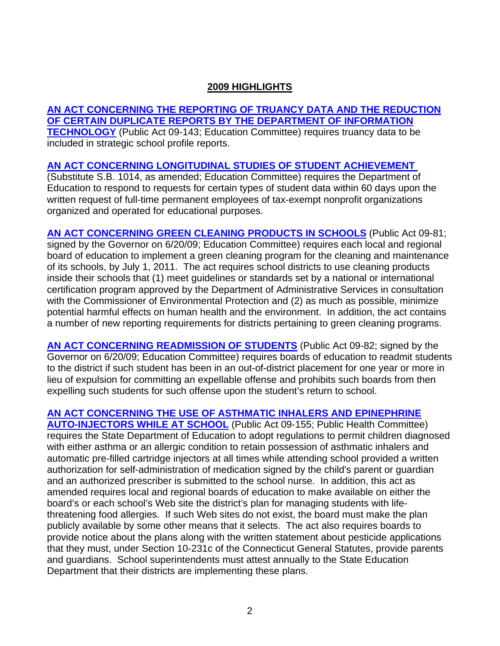#### **2009 HIGHLIGHTS**

**[AN ACT CONCERNING THE REPORTING OF TRUANCY DATA AND THE REDUCTION](http://www.cga.ct.gov/2009/ACT/Pa/pdf/2009PA-00143-R00SB-00940-PA.pdf)  [OF CERTAIN DUPLICATE REPORTS BY THE DEPARTMENT OF INFORMATION](http://www.cga.ct.gov/2009/ACT/Pa/pdf/2009PA-00143-R00SB-00940-PA.pdf)  [TECHNOLOGY](http://www.cga.ct.gov/2009/ACT/Pa/pdf/2009PA-00143-R00SB-00940-PA.pdf)** (Public Act 09-143; Education Committee) requires truancy data to be included in strategic school profile reports.

#### **[AN ACT CONCERNING LONGITUDINAL STUDIES OF STUDENT ACHIEVEMENT](http://www.cga.ct.gov/asp/cgabillstatus/cgabillstatus.asp?selBillType=Bill&bill_num=1014&which_year=2009&SUBMIT1.x=0&SUBMIT1.y=0&SUBMIT1=Normal)**

(Substitute S.B. 1014, as amended; Education Committee) requires the Department of Education to respond to requests for certain types of student data within 60 days upon the written request of full-time permanent employees of tax-exempt nonprofit organizations organized and operated for educational purposes.

**[AN ACT CONCERNING GREEN CLEANING PRODUCTS IN SCHOOLS](http://www.cga.ct.gov/2009/ACT/Pa/pdf/2009PA-00081-R00HB-06496-PA.pdf)** (Public Act 09-81; signed by the Governor on 6/20/09; Education Committee) requires each local and regional board of education to implement a green cleaning program for the cleaning and maintenance of its schools, by July 1, 2011. The act requires school districts to use cleaning products inside their schools that (1) meet guidelines or standards set by a national or international certification program approved by the Department of Administrative Services in consultation with the Commissioner of Environmental Protection and (2) as much as possible, minimize potential harmful effects on human health and the environment. In addition, the act contains a number of new reporting requirements for districts pertaining to green cleaning programs.

**[AN ACT CONCERNING READMISSION OF STUDENTS](http://www.cga.ct.gov/2009/ACT/Pa/pdf/2009PA-00082-R00HB-06567-PA.pdf)** (Public Act 09-82; signed by the Governor on 6/20/09; Education Committee) requires boards of education to readmit students to the district if such student has been in an out-of-district placement for one year or more in lieu of expulsion for committing an expellable offense and prohibits such boards from then expelling such students for such offense upon the student's return to school.

## **[AN ACT CONCERNING THE USE OF ASTHMATIC INHALERS AND EPINEPHRINE](http://www.cga.ct.gov/2009/ACT/Pa/pdf/2009PA-00155-R00SB-00755-PA.pdf)**

**[AUTO-INJECTORS WHILE AT SCHOOL](http://www.cga.ct.gov/2009/ACT/Pa/pdf/2009PA-00155-R00SB-00755-PA.pdf)** (Public Act 09-155; Public Health Committee) requires the State Department of Education to adopt regulations to permit children diagnosed with either asthma or an allergic condition to retain possession of asthmatic inhalers and automatic pre-filled cartridge injectors at all times while attending school provided a written authorization for self-administration of medication signed by the child's parent or guardian and an authorized prescriber is submitted to the school nurse. In addition, this act as amended requires local and regional boards of education to make available on either the board's or each school's Web site the district's plan for managing students with lifethreatening food allergies. If such Web sites do not exist, the board must make the plan publicly available by some other means that it selects. The act also requires boards to provide notice about the plans along with the written statement about pesticide applications that they must, under Section 10-231c of the Connecticut General Statutes, provide parents and guardians. School superintendents must attest annually to the State Education Department that their districts are implementing these plans.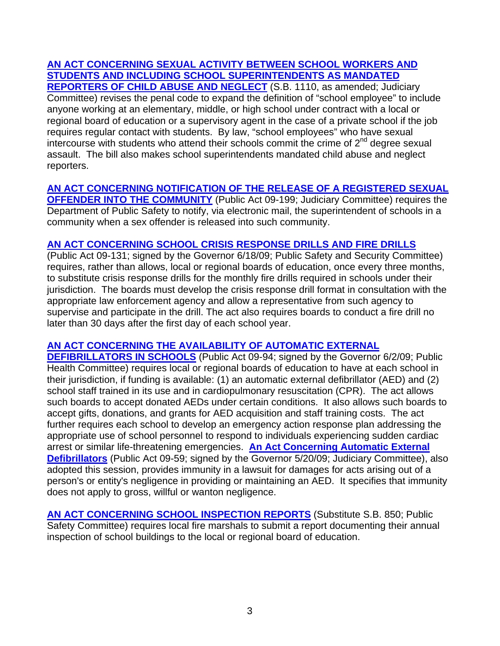# **[AN ACT CONCERNING SEXUAL ACTIVITY BETWEEN SCHOOL WORKERS AND](http://www.cga.ct.gov/asp/cgabillstatus/cgabillstatus.asp?selBillType=Bill&bill_num=1110&which_year=2009&SUBMIT1.x=0&SUBMIT1.y=0&SUBMIT1=Normal)  [STUDENTS AND INCLUDING SCHOOL SUPERINTENDENTS AS MANDATED](http://www.cga.ct.gov/asp/cgabillstatus/cgabillstatus.asp?selBillType=Bill&bill_num=1110&which_year=2009&SUBMIT1.x=0&SUBMIT1.y=0&SUBMIT1=Normal)**

**[REPORTERS OF CHILD ABUSE AND NEGLECT](http://www.cga.ct.gov/asp/cgabillstatus/cgabillstatus.asp?selBillType=Bill&bill_num=1110&which_year=2009&SUBMIT1.x=0&SUBMIT1.y=0&SUBMIT1=Normal)** (S.B. 1110, as amended; Judiciary Committee) revises the penal code to expand the definition of "school employee" to include anyone working at an elementary, middle, or high school under contract with a local or regional board of education or a supervisory agent in the case of a private school if the job requires regular contact with students. By law, "school employees" who have sexual intercourse with students who attend their schools commit the crime of  $2<sup>nd</sup>$  degree sexual assault. The bill also makes school superintendents mandated child abuse and neglect reporters.

#### **[AN ACT CONCERNING NOTIFICATION OF THE RELEASE OF A REGISTERED SEXUAL](http://www.cga.ct.gov/2009/ACT/Pa/pdf/2009PA-00199-R00SB-00533-PA.pdf)**

**[OFFENDER INTO THE COMMUNITY](http://www.cga.ct.gov/2009/ACT/Pa/pdf/2009PA-00199-R00SB-00533-PA.pdf)** (Public Act 09-199; Judiciary Committee) requires the Department of Public Safety to notify, via electronic mail, the superintendent of schools in a community when a sex offender is released into such community.

#### **[AN ACT CONCERNING SCHOOL CRISIS RESPONSE DRILLS AND FIRE DRILLS](http://www.cga.ct.gov/2009/ACT/Pa/pdf/2009PA-00131-R00SB-00760-PA.pdf)**

(Public Act 09-131; signed by the Governor 6/18/09; Public Safety and Security Committee) requires, rather than allows, local or regional boards of education, once every three months, to substitute crisis response drills for the monthly fire drills required in schools under their jurisdiction. The boards must develop the crisis response drill format in consultation with the appropriate law enforcement agency and allow a representative from such agency to supervise and participate in the drill. The act also requires boards to conduct a fire drill no later than 30 days after the first day of each school year.

## **[AN ACT CONCERNING THE AVAILABILITY OF AUTOMATIC EXTERNAL](http://www.cga.ct.gov/2009/ACT/Pa/pdf/2009PA-00094-R00SB-00981-PA.pdf)**

**[DEFIBRILLATORS IN SCHOOLS](http://www.cga.ct.gov/2009/ACT/Pa/pdf/2009PA-00094-R00SB-00981-PA.pdf)** (Public Act 09-94; signed by the Governor 6/2/09; Public Health Committee) requires local or regional boards of education to have at each school in their jurisdiction, if funding is available: (1) an automatic external defibrillator (AED) and (2) school staff trained in its use and in cardiopulmonary resuscitation (CPR). The act allows such boards to accept donated AEDs under certain conditions. It also allows such boards to accept gifts, donations, and grants for AED acquisition and staff training costs. The act further requires each school to develop an emergency action response plan addressing the appropriate use of school personnel to respond to individuals experiencing sudden cardiac arrest or similar life-threatening emergencies. **[An Act Concerning Automatic External](http://www.cga.ct.gov/2009/ACT/Pa/pdf/2009PA-00059-R00SB-01089-PA.pdf)  [Defibrillators](http://www.cga.ct.gov/2009/ACT/Pa/pdf/2009PA-00059-R00SB-01089-PA.pdf)** (Public Act 09-59; signed by the Governor 5/20/09; Judiciary Committee), also adopted this session, provides immunity in a lawsuit for damages for acts arising out of a person's or entity's negligence in providing or maintaining an AED. It specifies that immunity does not apply to gross, willful or wanton negligence.

**[AN ACT CONCERNING SCHOOL INSPECTION REPORTS](http://www.cga.ct.gov/asp/cgabillstatus/cgabillstatus.asp?selBillType=Bill&bill_num=850&which_year=2009&SUBMIT1.x=0&SUBMIT1.y=0&SUBMIT1=Normal) (Substitute S.B. 850; Public** Safety Committee) requires local fire marshals to submit a report documenting their annual inspection of school buildings to the local or regional board of education.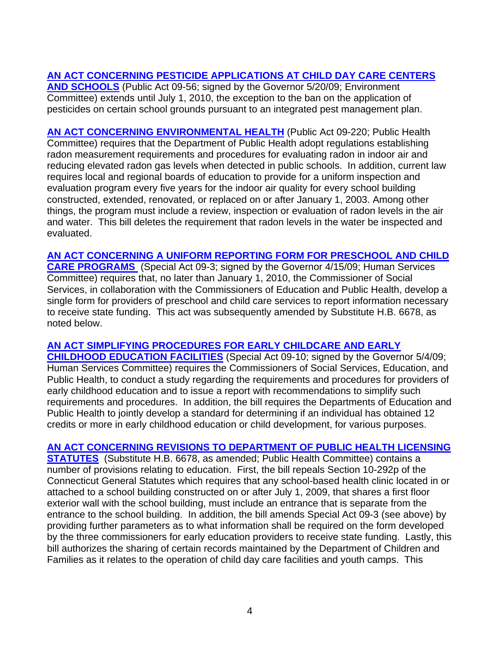# **[AN ACT CONCERNING PESTICIDE APPLICATIONS AT CHILD DAY CARE CENTERS](http://www.cga.ct.gov/2009/ACT/Pa/pdf/2009PA-00056-R00SB-01020-PA.pdf)**

**[AND SCHOOLS](http://www.cga.ct.gov/2009/ACT/Pa/pdf/2009PA-00056-R00SB-01020-PA.pdf)** (Public Act 09-56; signed by the Governor 5/20/09; Environment Committee) extends until July 1, 2010, the exception to the ban on the application of pesticides on certain school grounds pursuant to an integrated pest management plan.

**[AN ACT CONCERNING ENVIRONMENTAL HEALTH](http://www.cga.ct.gov/2009/ACT/Pa/pdf/2009PA-00220-R00HB-06539-PA.pdf)** (Public Act 09-220; Public Health Committee) requires that the Department of Public Health adopt regulations establishing radon measurement requirements and procedures for evaluating radon in indoor air and reducing elevated radon gas levels when detected in public schools. In addition, current law requires local and regional boards of education to provide for a uniform inspection and evaluation program every five years for the indoor air quality for every school building constructed, extended, renovated, or replaced on or after January 1, 2003. Among other things, the program must include a review, inspection or evaluation of radon levels in the air and water. This bill deletes the requirement that radon levels in the water be inspected and evaluated.

**[AN ACT CONCERNING A UNIFORM REPORTING FORM FOR PRESCHOOL AND CHILD](http://www.cga.ct.gov/2009/ACT/sa/pdf/2009SA-00003-R00HB-05841-SA.pdf)  [CARE PROGRAMS](http://www.cga.ct.gov/2009/ACT/sa/pdf/2009SA-00003-R00HB-05841-SA.pdf)** (Special Act 09-3; signed by the Governor 4/15/09; Human Services Committee) requires that, no later than January 1, 2010, the Commissioner of Social Services, in collaboration with the Commissioners of Education and Public Health, develop a single form for providers of preschool and child care services to report information necessary to receive state funding. This act was subsequently amended by Substitute H.B. 6678, as noted below.

# **[AN ACT SIMPLIFYING PROCEDURES FOR EARLY CHILDCARE AND EARLY](http://www.cga.ct.gov/2009/ACT/sa/pdf/2009SA-00010-R00HB-06544-SA.pdf)**

**[CHILDHOOD EDUCATION FACILITIES](http://www.cga.ct.gov/2009/ACT/sa/pdf/2009SA-00010-R00HB-06544-SA.pdf)** (Special Act 09-10; signed by the Governor 5/4/09; Human Services Committee) requires the Commissioners of Social Services, Education, and Public Health, to conduct a study regarding the requirements and procedures for providers of early childhood education and to issue a report with recommendations to simplify such requirements and procedures. In addition, the bill requires the Departments of Education and Public Health to jointly develop a standard for determining if an individual has obtained 12 credits or more in early childhood education or child development, for various purposes.

## **[AN ACT CONCERNING REVISIONS TO DEPARTMENT OF PUBLIC HEALTH LICENSING](http://www.cga.ct.gov/asp/cgabillstatus/cgabillstatus.asp?selBillType=Bill&bill_num=6678&which_year=2009&SUBMIT1.x=0&SUBMIT1.y=0&SUBMIT1=Normal)**

**[STATUTES](http://www.cga.ct.gov/asp/cgabillstatus/cgabillstatus.asp?selBillType=Bill&bill_num=6678&which_year=2009&SUBMIT1.x=0&SUBMIT1.y=0&SUBMIT1=Normal)** (Substitute H.B. 6678, as amended; Public Health Committee) contains a number of provisions relating to education. First, the bill repeals Section 10-292p of the Connecticut General Statutes which requires that any school-based health clinic located in or attached to a school building constructed on or after July 1, 2009, that shares a first floor exterior wall with the school building, must include an entrance that is separate from the entrance to the school building. In addition, the bill amends Special Act 09-3 (see above) by providing further parameters as to what information shall be required on the form developed by the three commissioners for early education providers to receive state funding. Lastly, this bill authorizes the sharing of certain records maintained by the Department of Children and Families as it relates to the operation of child day care facilities and youth camps. This